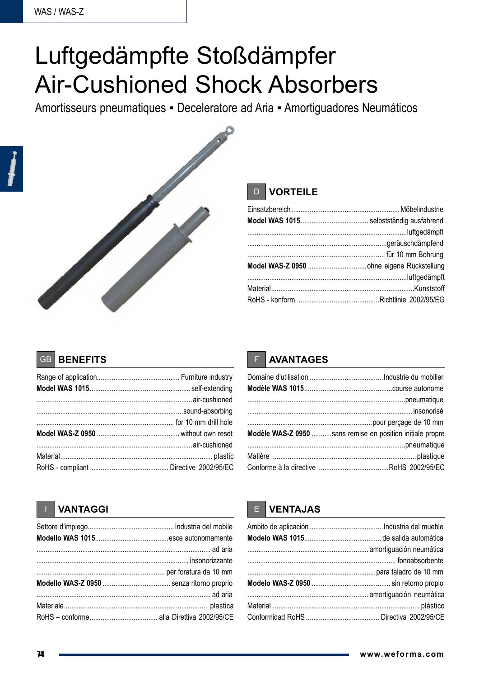# Luftgedämpfte Stoßdämpfer **Air-Cushioned Shock Absorbers**

Amortisseurs pneumatiques - Deceleratore ad Aria - Amortiguadores Neumáticos



#### **VORTEILE** D

#### **BENEFITS**  $GB$

## **AVANTAGES**

| Modèle WAS-Z 0950 sans remise en position initiale propre |
|-----------------------------------------------------------|
|                                                           |
|                                                           |
|                                                           |

### **VANTAGGI**

## **VENTAJAS**